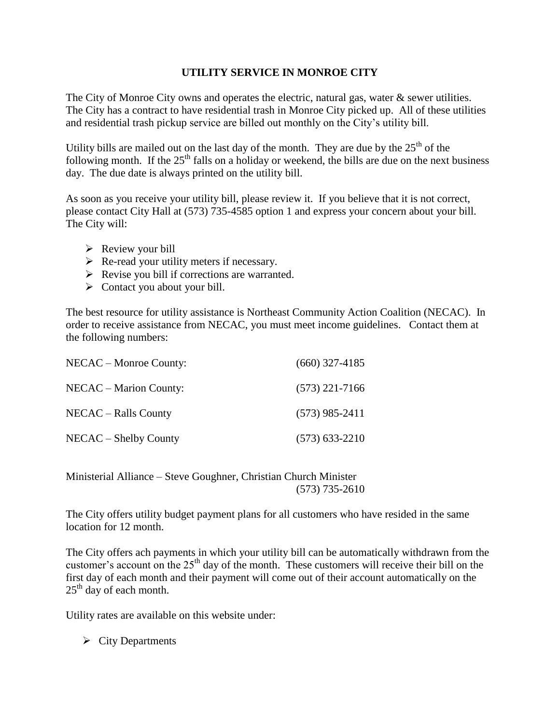## **UTILITY SERVICE IN MONROE CITY**

The City of Monroe City owns and operates the electric, natural gas, water & sewer utilities. The City has a contract to have residential trash in Monroe City picked up. All of these utilities and residential trash pickup service are billed out monthly on the City's utility bill.

Utility bills are mailed out on the last day of the month. They are due by the  $25<sup>th</sup>$  of the following month. If the  $25<sup>th</sup>$  falls on a holiday or weekend, the bills are due on the next business day. The due date is always printed on the utility bill.

As soon as you receive your utility bill, please review it. If you believe that it is not correct, please contact City Hall at (573) 735-4585 option 1 and express your concern about your bill. The City will:

- $\triangleright$  Review your bill
- $\triangleright$  Re-read your utility meters if necessary.
- $\triangleright$  Revise you bill if corrections are warranted.
- $\triangleright$  Contact you about your bill.

The best resource for utility assistance is Northeast Community Action Coalition (NECAC). In order to receive assistance from NECAC, you must meet income guidelines. Contact them at the following numbers:

| NECAC – Monroe County: | $(660)$ 327-4185 |
|------------------------|------------------|
| NECAC – Marion County: | $(573)$ 221-7166 |
| NECAC – Ralls County   | $(573)$ 985-2411 |
| NECAC – Shelby County  | $(573)$ 633-2210 |

Ministerial Alliance – Steve Goughner, Christian Church Minister (573) 735-2610

The City offers utility budget payment plans for all customers who have resided in the same location for 12 month.

The City offers ach payments in which your utility bill can be automatically withdrawn from the customer's account on the  $25<sup>th</sup>$  day of the month. These customers will receive their bill on the first day of each month and their payment will come out of their account automatically on the  $25<sup>th</sup>$  day of each month.

Utility rates are available on this website under:

 $\triangleright$  City Departments